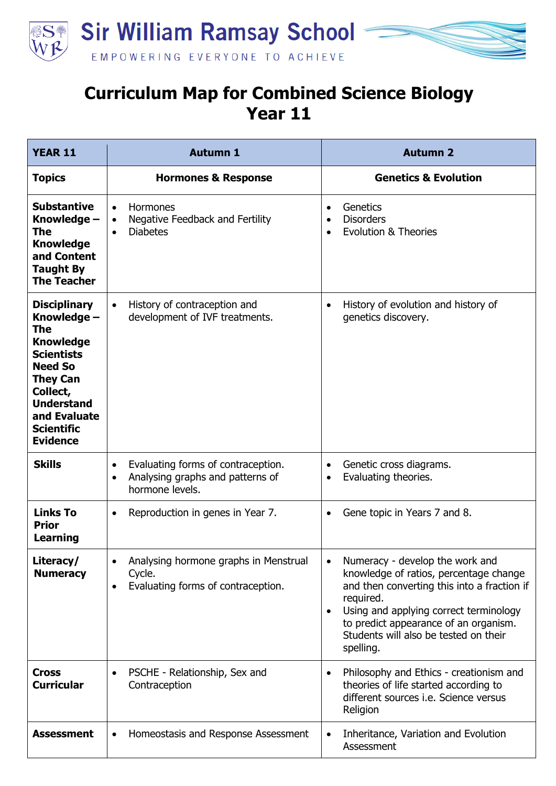

## **Curriculum Map for Combined Science Biology Year 11**

| <b>YEAR 11</b>                                                                                                                                                                                                          | <b>Autumn 1</b>                                                                                                     | <b>Autumn 2</b>                                                                                                                                                                                                                                                                             |
|-------------------------------------------------------------------------------------------------------------------------------------------------------------------------------------------------------------------------|---------------------------------------------------------------------------------------------------------------------|---------------------------------------------------------------------------------------------------------------------------------------------------------------------------------------------------------------------------------------------------------------------------------------------|
| <b>Topics</b>                                                                                                                                                                                                           | <b>Hormones &amp; Response</b>                                                                                      | <b>Genetics &amp; Evolution</b>                                                                                                                                                                                                                                                             |
| <b>Substantive</b><br>Knowledge -<br>The<br><b>Knowledge</b><br>and Content<br><b>Taught By</b><br><b>The Teacher</b>                                                                                                   | Hormones<br>$\bullet$<br>Negative Feedback and Fertility<br>$\bullet$<br><b>Diabetes</b><br>$\bullet$               | Genetics<br>$\bullet$<br><b>Disorders</b><br>$\bullet$<br><b>Evolution &amp; Theories</b><br>$\bullet$                                                                                                                                                                                      |
| <b>Disciplinary</b><br>Knowledge -<br><b>The</b><br><b>Knowledge</b><br><b>Scientists</b><br><b>Need So</b><br><b>They Can</b><br>Collect,<br><b>Understand</b><br>and Evaluate<br><b>Scientific</b><br><b>Evidence</b> | History of contraception and<br>$\bullet$<br>development of IVF treatments.                                         | History of evolution and history of<br>$\bullet$<br>genetics discovery.                                                                                                                                                                                                                     |
| <b>Skills</b>                                                                                                                                                                                                           | Evaluating forms of contraception.<br>$\bullet$<br>Analysing graphs and patterns of<br>$\bullet$<br>hormone levels. | Genetic cross diagrams.<br>$\bullet$<br>Evaluating theories.<br>$\bullet$                                                                                                                                                                                                                   |
| <b>Links To</b><br><b>Prior</b><br><b>Learning</b>                                                                                                                                                                      | Reproduction in genes in Year 7.<br>$\bullet$                                                                       | Gene topic in Years 7 and 8.<br>$\bullet$                                                                                                                                                                                                                                                   |
| Literacy/<br><b>Numeracy</b>                                                                                                                                                                                            | Analysing hormone graphs in Menstrual<br>Cycle.<br>Evaluating forms of contraception.<br>$\bullet$                  | Numeracy - develop the work and<br>knowledge of ratios, percentage change<br>and then converting this into a fraction if<br>required.<br>Using and applying correct terminology<br>$\bullet$<br>to predict appearance of an organism.<br>Students will also be tested on their<br>spelling. |
| <b>Cross</b><br><b>Curricular</b>                                                                                                                                                                                       | PSCHE - Relationship, Sex and<br>$\bullet$<br>Contraception                                                         | Philosophy and Ethics - creationism and<br>$\bullet$<br>theories of life started according to<br>different sources i.e. Science versus<br>Religion                                                                                                                                          |
| <b>Assessment</b>                                                                                                                                                                                                       | Homeostasis and Response Assessment<br>$\bullet$                                                                    | Inheritance, Variation and Evolution<br>$\bullet$<br>Assessment                                                                                                                                                                                                                             |